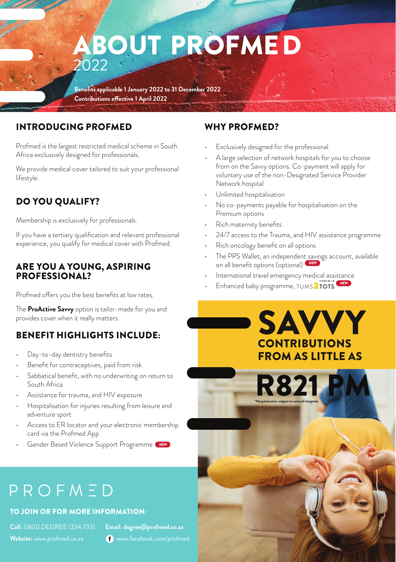## ABOUT PROFMED 2022

**Benefits applicable 1 January 2022 to 31 December 2022 Contributions effective 1 April 2022**

#### INTRODUCING PROFMED

Profmed is the largest restricted medical scheme in South Africa exclusively designed for professionals.

We provide medical cover tailored to suit your professional lifestyle.

#### DO YOU QUALIFY?

Membership is exclusively for professionals.

If you have a tertiary qualification and relevant professional experience, you qualify for medical cover with Profmed.

#### ARE YOU A YOUNG, ASPIRING PROFESSIONAL?

Profmed offers you the best benefits at low rates.

The **ProActive Savvy** option is tailor-made for you and provides cover when it really matters.

#### BENEFIT HIGHLIGHTS INCLUDE:

- Day-to-day dentistry benefits
- Benefit for contraceptives, paid from risk
- Sabbatical benefit, with no underwriting on return to South Africa
- Assistance for trauma, and HIV exposure
- Hospitalisation for injuries resulting from leisure and adventure sport
- Access to ER locator and your electronic membership card via the Profmed App
- Gender Based Violence Support Programme *NEW*

#### WHY PROFMED?

- Exclusively designed for the professional
- A large selection of network hospitals for you to choose from on the Savvy options. Co-payment will apply for voluntary use of the non-Designated Service Provider Network hospital
- Unlimited hospitalisation
- No co-payments payable for hospitalisation on the Premium options
- Rich maternity benefits
- 24/7 access to the Trauma, and HIV assistance programme
- Rich oncology benefit on all options
- The PPS Wallet, an independent savings account, available on all benefit options (optional) *NEW*

**SAVVY** 

CONTRIBUTIONS FROM AS LITTLE AS

R821 P

**\*Hospitalisation subject to network hospitals** 

- International travel emergency medical assistance
- Enhanced baby programme, TUMS TOTS . *NEW*

# PROFMED

#### TO JOIN OR FOR MORE INFORMATION:

**Call:** 0800 DEGREE (334 733) **Email: degree@profmed.co.za**  Website: www.profmed.co.za **Website:** www.facebook.com/profmed